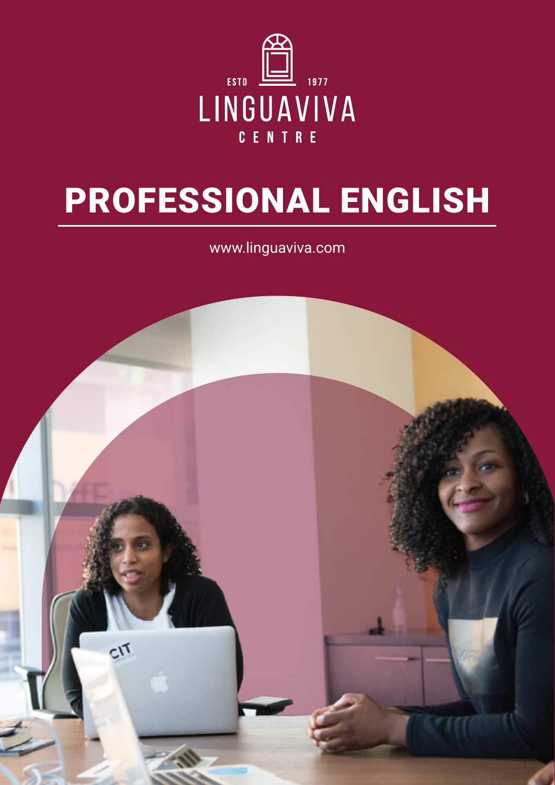

## PROFESSIONAL ENGLISH

www.linguaviva.com

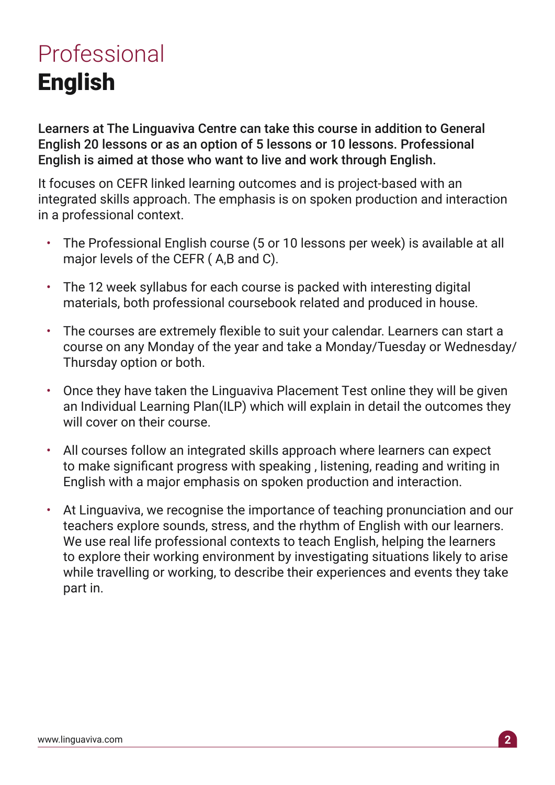## Professional English

Learners at The Linguaviva Centre can take this course in addition to General English 20 lessons or as an option of 5 lessons or 10 lessons. Professional English is aimed at those who want to live and work through English.

It focuses on CEFR linked learning outcomes and is project-based with an integrated skills approach. The emphasis is on spoken production and interaction in a professional context.

- The Professional English course (5 or 10 lessons per week) is available at all major levels of the CEFR ( A,B and C).
- The 12 week syllabus for each course is packed with interesting digital materials, both professional coursebook related and produced in house.
- The courses are extremely flexible to suit your calendar. Learners can start a course on any Monday of the year and take a Monday/Tuesday or Wednesday/ Thursday option or both.
- Once they have taken the Linguaviva Placement Test online they will be given an Individual Learning Plan(ILP) which will explain in detail the outcomes they will cover on their course.
- All courses follow an integrated skills approach where learners can expect to make significant progress with speaking , listening, reading and writing in English with a major emphasis on spoken production and interaction.
- At Linguaviva, we recognise the importance of teaching pronunciation and our teachers explore sounds, stress, and the rhythm of English with our learners. We use real life professional contexts to teach English, helping the learners to explore their working environment by investigating situations likely to arise while travelling or working, to describe their experiences and events they take part in.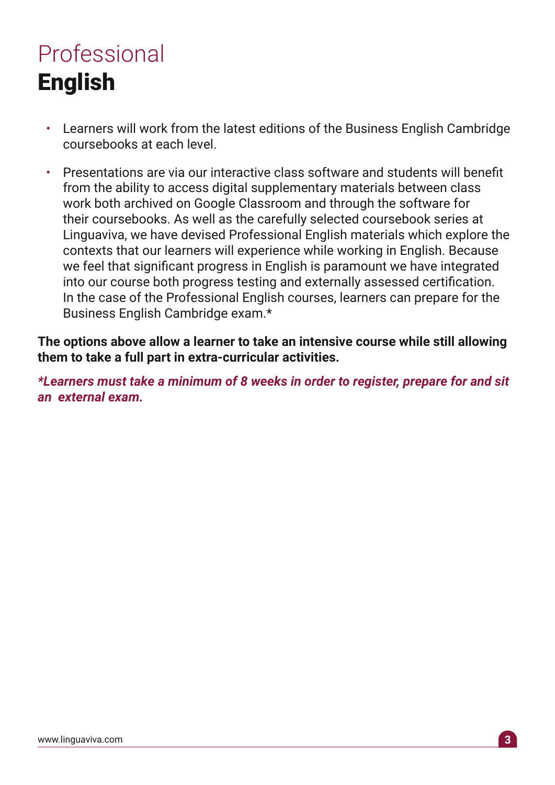## Professional English

- Learners will work from the latest editions of the Business English Cambridge coursebooks at each level.
- Presentations are via our interactive class software and students will benefit from the ability to access digital supplementary materials between class work both archived on Google Classroom and through the software for their coursebooks. As well as the carefully selected coursebook series at Linguaviva, we have devised Professional English materials which explore the contexts that our learners will experience while working in English. Because we feel that significant progress in English is paramount we have integrated into our course both progress testing and externally assessed certification. In the case of the Professional English courses, learners can prepare for the Business English Cambridge exam.\*

**The options above allow a learner to take an intensive course while still allowing them to take a full part in extra-curricular activities.**

*\*Learners must take a minimum of 8 weeks in order to register, prepare for and sit an external exam.*